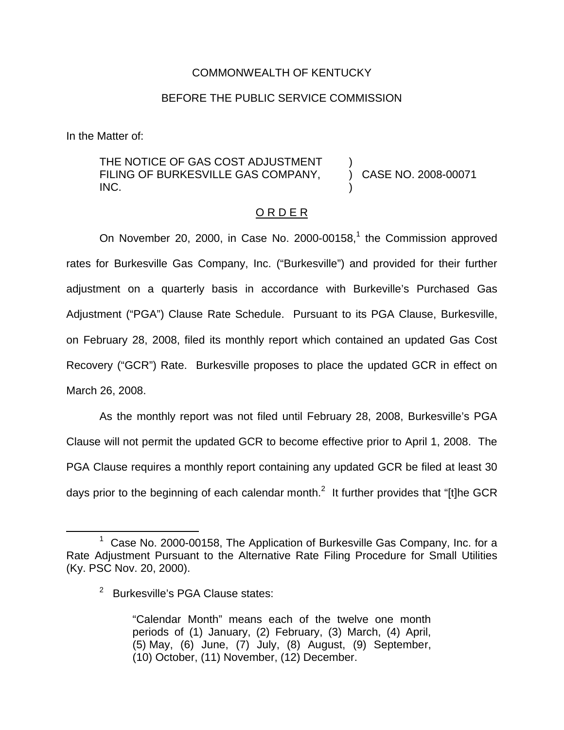## COMMONWEALTH OF KENTUCKY

## BEFORE THE PUBLIC SERVICE COMMISSION

In the Matter of:

THE NOTICE OF GAS COST ADJUSTMENT FILING OF BURKESVILLE GAS COMPANY, INC.

) CASE NO. 2008-00071

)

)

### ORDER

On November 20, 2000, in Case No. 2000-00158, $<sup>1</sup>$  the Commission approved</sup> rates for Burkesville Gas Company, Inc. ("Burkesville") and provided for their further adjustment on a quarterly basis in accordance with Burkeville's Purchased Gas Adjustment ("PGA") Clause Rate Schedule. Pursuant to its PGA Clause, Burkesville, on February 28, 2008, filed its monthly report which contained an updated Gas Cost Recovery ("GCR") Rate. Burkesville proposes to place the updated GCR in effect on March 26, 2008.

As the monthly report was not filed until February 28, 2008, Burkesville's PGA Clause will not permit the updated GCR to become effective prior to April 1, 2008. The PGA Clause requires a monthly report containing any updated GCR be filed at least 30 days prior to the beginning of each calendar month.<sup>2</sup> It further provides that "[t]he GCR

 $1$  Case No. 2000-00158, The Application of Burkesville Gas Company, Inc. for a Rate Adjustment Pursuant to the Alternative Rate Filing Procedure for Small Utilities (Ky. PSC Nov. 20, 2000).

<sup>&</sup>lt;sup>2</sup> Burkesville's PGA Clause states:

<sup>&</sup>quot;Calendar Month" means each of the twelve one month periods of (1) January, (2) February, (3) March, (4) April, (5) May, (6) June, (7) July, (8) August, (9) September, (10) October, (11) November, (12) December.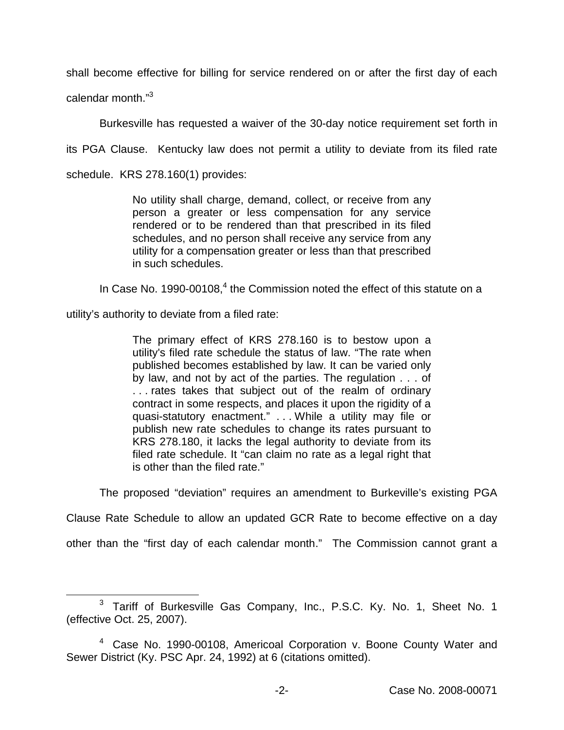shall become effective for billing for service rendered on or after the first day of each calendar month."<sup>3</sup>

Burkesville has requested a waiver of the 30-day notice requirement set forth in

its PGA Clause. Kentucky law does not permit a utility to deviate from its filed rate

schedule. KRS 278.160(1) provides:

No utility shall charge, demand, collect, or receive from any person a greater or less compensation for any service rendered or to be rendered than that prescribed in its filed schedules, and no person shall receive any service from any utility for a compensation greater or less than that prescribed in such schedules.

In Case No. 1990-00108, $<sup>4</sup>$  the Commission noted the effect of this statute on a</sup>

utility's authority to deviate from a filed rate:

The primary effect of KRS 278.160 is to bestow upon a utility's filed rate schedule the status of law. "The rate when published becomes established by law. It can be varied only by law, and not by act of the parties. The regulation . . . of . . . rates takes that subject out of the realm of ordinary contract in some respects, and places it upon the rigidity of a quasi-statutory enactment." . . . While a utility may file or publish new rate schedules to change its rates pursuant to KRS 278.180, it lacks the legal authority to deviate from its filed rate schedule. It "can claim no rate as a legal right that is other than the filed rate."

The proposed "deviation" requires an amendment to Burkeville's existing PGA

Clause Rate Schedule to allow an updated GCR Rate to become effective on a day

other than the "first day of each calendar month." The Commission cannot grant a

<sup>&</sup>lt;sup>3</sup> Tariff of Burkesville Gas Company, Inc., P.S.C. Ky. No. 1, Sheet No. 1 (effective Oct. 25, 2007).

<sup>&</sup>lt;sup>4</sup> Case No. 1990-00108, Americoal Corporation v. Boone County Water and Sewer District (Ky. PSC Apr. 24, 1992) at 6 (citations omitted).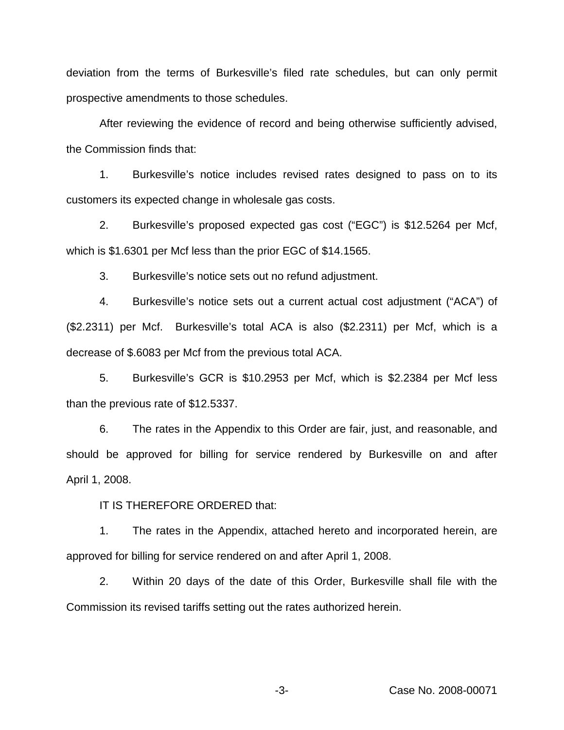deviation from the terms of Burkesville's filed rate schedules, but can only permit prospective amendments to those schedules.

After reviewing the evidence of record and being otherwise sufficiently advised, the Commission finds that:

1. Burkesville's notice includes revised rates designed to pass on to its customers its expected change in wholesale gas costs.

2. Burkesville's proposed expected gas cost ("EGC") is \$12.5264 per Mcf, which is \$1.6301 per Mcf less than the prior EGC of \$14.1565.

3. Burkesville's notice sets out no refund adjustment.

4. Burkesville's notice sets out a current actual cost adjustment ("ACA") of (\$2.2311) per Mcf. Burkesville's total ACA is also (\$2.2311) per Mcf, which is a decrease of \$.6083 per Mcf from the previous total ACA.

5. Burkesville's GCR is \$10.2953 per Mcf, which is \$2.2384 per Mcf less than the previous rate of \$12.5337.

6. The rates in the Appendix to this Order are fair, just, and reasonable, and should be approved for billing for service rendered by Burkesville on and after April 1, 2008.

IT IS THEREFORE ORDERED that:

1. The rates in the Appendix, attached hereto and incorporated herein, are approved for billing for service rendered on and after April 1, 2008.

2. Within 20 days of the date of this Order, Burkesville shall file with the Commission its revised tariffs setting out the rates authorized herein.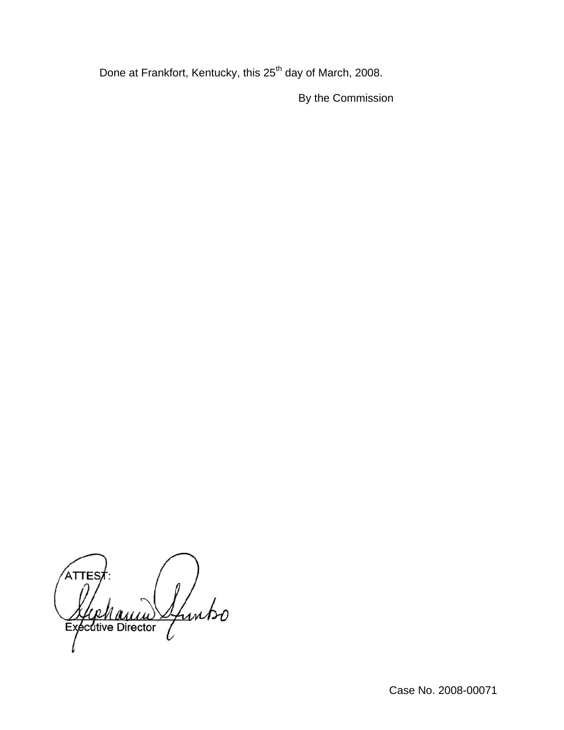Done at Frankfort, Kentucky, this 25<sup>th</sup> day of March, 2008.

By the Commission

ATTES Ifuntso Executive Director